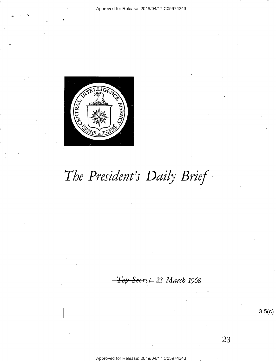

# The President's Daily Brief

Secret 23 March 1968

 $3.5(c)$ 

23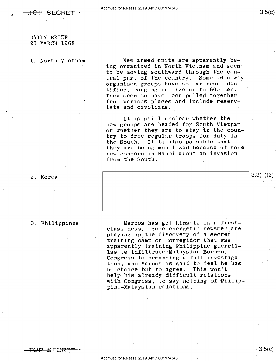$\ddot{\phantom{0}}$ 

0

 $3.3(h)(2)$ 

# DAILY BRIEF 23 MARCH 1968

1. North Vietnam

New armed units are apparently being organized in North Vietnam and seem' to be moving southward through the central part of the country. Some 16 newly organized groups have so far been identified, ranging in size up to 600 men. They seem to have been pulled together from various places and include reservists and civilians.

It is still unclear whether the new groups are headed for South Vietnam or whether they are to stay in the country to free regular troops for duty in the South. It is also possible that they are being mobilized because of some new concern in Hanoi about an invasion from the South.

# 2. Korea

## 3. Philippines

Marcos has got himself in a firstclass mess. Some energetic newsmen are playing up the discovery of a secret training camp on Corregidor that was apparently training Philippine guerrillas to infiltrate Malaysian Borneo. Congress is demanding a full investigation, and Marcos is said to feel he has no choice but to agree. This won't help his already difficult relations with Congress, to say nothing of Philippine-Malaysian relations.

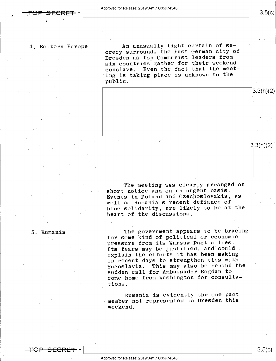$3.5(c)$ 

a

-

4. Eastern Europe An unusually tight curtain of secrecy surrounds the East German city of Dresden as top Communist leaders from six countries gather for their weekend conclave. Even the fact that the meeting is taking place is unknown to the public.



The meeting was clearly arranged on short notice and on an urgent basis. Events in Poland and Czechoslovakia, as well as Rumania's recent defiance of bloc solidarity, are likely to be at the heart of the discussions.

5. Rumania  $\qquad \qquad$  The government appears to be bracing for some kind of political or economic pressure from its Warsaw Pact allies. Its fears may be justified, and could explain the efforts it has been making in recent days to strengthen ties with Yugoslavia. This may also be behind the sudden call for Ambassador Bogdan to come home from Washington for consultations.

> Rumania is evidently the one pact emember not represented in Dresden this weekend.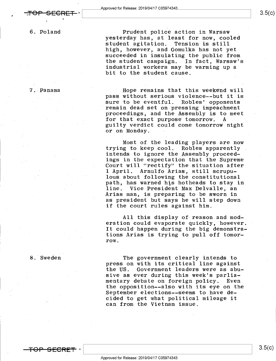6. Poland

7.-Panama

Prudent police action in Warsaw . yesterday has, at least for now, cooled<br>student agitation. Tension is still student agitation. high, however, and Gomulka has not yet succeeded in insulating the public from the student campaign. In fact, Warsaw's industrial workers may be warming up a bit to the student cause.

Hope remains that this weekend will pass without serious violence--but it is remain dead set on pressing impeachment proceedings, and the Assembly is to meet<br>for that exact purpose tomorrow. A for that exact purpose tomorrow. guilty verdict could come tomorrow night or on Monday.

Most of the leading players are now trying to keep cool. Robles apparently intends to ignore the Assembly proceedings in the expectation that the Supreme Court will "rectify" the situation after<br>1 April. Arnulfo Arias, still scrupu-Arnulfo Arias, still scrupulous about following the constitutional path, has warned his hotheads to stay in line. Vice President Max Delvalle, an .Arias man, is preparing to be sworn in as president but says he will step down if the court rules against him.

All this display of reason and moderation could evaporate quickly, however It could happen during the big demonstrations Arias is trying to pull off tomorrow.

8.'Sweden

The government clearly intends to press on with its critical line against the US. Government leaders were as abusive as ever during this week's parlia-<br>mentary debate on foreign policy. Even mentary debate on foreign policy. Even the opposition--also with its eye on the September elections--seems to have decided to get what political mileage it can from the Vietnam issue.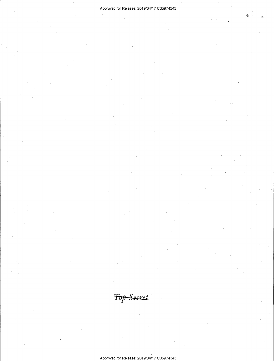$\tilde{\mathbb{Z}}$  ,

.

 $\overline{\phantom{a}}$ 

Top Secret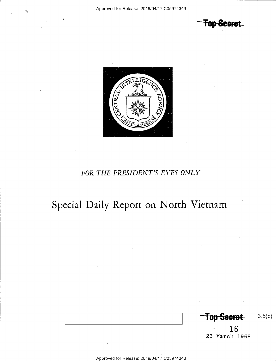Top Secret



# FOR THE PRESIDENT'S EYES ONLY

# Special Daily Report on North Vietnam

Top-Seeret- 3.5(c)

 $\sqrt{16}$ 23 March 1968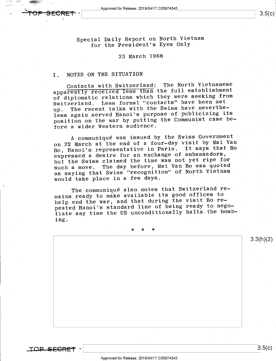Approved for Release: 2019/04/17 C05974343

\_

'\ .L.\_ <sup>W</sup> '

Special Daily Report on North Vietnam for the President's Eyes Only

### 23 March 1968

# I. NOTES ON THE SITUATION

Contacts with Switzerland: The North Vietnamese appa<del>rently received less than</del> the full establishment<br>they were cooking from of diplomatic relations which they were seeking from Switzerland. Less formal "contacts" have been set up. The recent talks with the Swiss have nevertheless again served Hanoi's purpose of publicizing its position on the war by putting the Communist case before a wider Western audience.

<sup>A</sup>communique was issued by the Swiss Government on 22 March at the end of a four-day visit by Mai Van Bo, Hanoi's representative in Paris. It says that Bo . expressed a desire for an exchange of ambassadors, but the Swiss claimed the time was not yet ripe for such a move. The day before, Mai Van Bo was quoted as saying that Swiss "recognition" of North Vietnam would take place in a few days. \

The communiqué also notes that Switzerland remains ready to make available its good offices to help end the war, and that during the visit Bo repeated Hanoi's standard line of being ready to negotiate any time the US unconditionally halts the bombing.

' \* \* \*

 $\overline{LOP-SEGREF}$  -  $\vert$  3.5(c)

3.3(h)(2)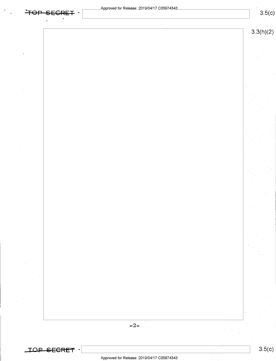٠.

 $\mathcal{L}$ 

 $\sim$ 

 $\hat{\boldsymbol{\theta}}$ 

 $\sim$ 

 $\sim 10$ 

a

|       | 3.3(h)(2) |
|-------|-----------|
|       |           |
|       |           |
|       |           |
|       |           |
|       |           |
|       |           |
|       |           |
|       |           |
|       |           |
|       |           |
|       |           |
|       |           |
|       |           |
|       |           |
|       |           |
|       |           |
|       |           |
|       |           |
|       |           |
|       |           |
|       |           |
|       |           |
|       |           |
|       |           |
|       |           |
|       |           |
|       |           |
|       |           |
|       |           |
|       |           |
|       |           |
|       |           |
|       |           |
|       |           |
|       |           |
|       |           |
|       |           |
| $-2-$ |           |
|       |           |
|       |           |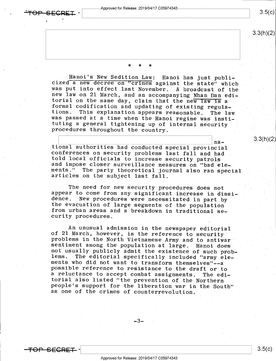<del>OP SECRET</del>

 $3.5(c)$ 

 $3.3(h)(2)$ 

3.3(h)(2)

\* \* \* <sup>~</sup>

Hanoi's New Sedition Law: Hanoi has just publi-<br>cized a new decree on "crimes against the state" which<br>was put into effect last November. A broadcast of the<br>new law on 21 March, and an accompanying Nhan Dan edi-<br>torial on procedures throughout the country.

na-<br>tional authorities had conducted special provincial<br>conferences on security problems last fall and had<br>told local officials to increase security patrols<br>and impose closer surveillance measures on "bad ele-<br>ments." The

The need for new security procedures does not<br>appear to come from any significant increase in dissi-<br>dence. New procedures were necessitated in part by<br>the evacuation of large segments of the population<br>from urban areas an

An unusual admission in the newspaper editorial<br>of 21 March, however, is the reference to security<br>problems in the North Vietnamese Army and to antiwar<br>sentiment among the population at large. Hanoi does<br>not usually public torial also listed "the prevention of the Northern<br>people's support for the liberation war in the South"<br>as one of the crimes of counterrevolution.

 $-3-$ 

<del>TOP SECRET</del>

Approved for Release: 2019/04/17 C05974343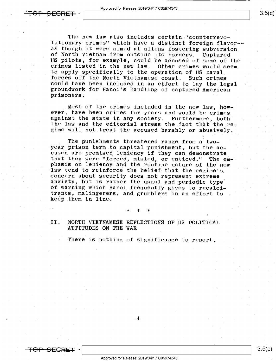<del>. TOP SECRET</del> -

<del>TOP SEGRET</del>

٠.

The new law also includes certain "counterrevolutionary crimes" which have a distinct foreign flavor- as though it were aimed at aliens fostering subversion<br>of North Vietnam from outside its borders. Captured US pilots, for example, could be accused of some of the<br>crimes listed in the new law. Other crimes would seem<br>to apply specifically to the operation of US naval forces off the North Vietnamese coast. Such crimes<br>could have been included in an effort to lay the legal<br>groundwork for Hanoi's handling of captured American<br>prisoners.

Most of the crimes included in the new law, how-<br>ever, have been crimes for years and would be crimes against the state in any society. Furthermore, both<br>the law and the editorial stress the fact that the regime will not treat the accused harshly or abusively.

The punishments threatened range from a two-<br>year prison term to capital punishment, but the accused are promised leniency if they can demonstrate<br>that they were "forced, misled, or enticed." The em-<br>phasis on leniency and the routine nature of the new<br>law tend to reinforce the belief that the regime's<br>concern about anxiety, but is rather the usual and periodic type' of warning which Hanoi frequently gives to recalcitrants, malingerers, and grumblers in an effort to keep them in line.

\* \* \*

II. NORTH VIETNAMESE REFLECTIONS OF US POLITICAL ATTITUDES ON THE WAR

There is nothing of significance to report.